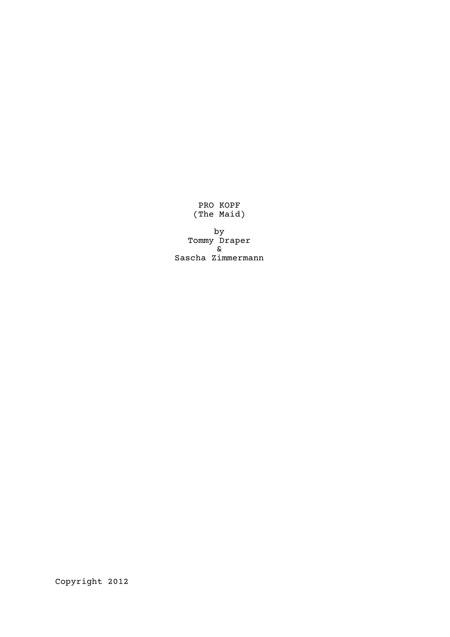PRO KOPF (The Maid)

by Tommy Draper & Sascha Zimmermann

Copyright 2012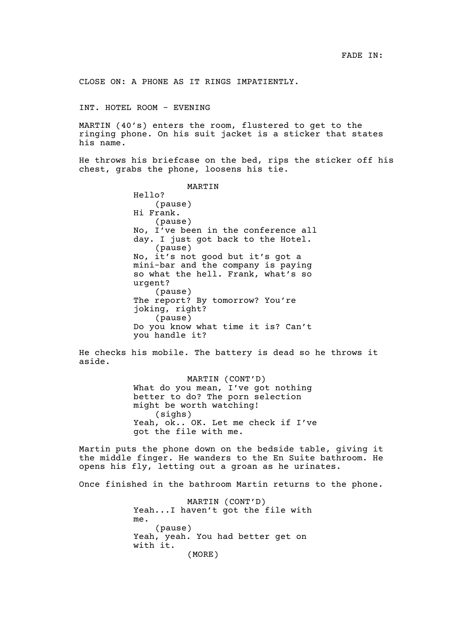CLOSE ON: A PHONE AS IT RINGS IMPATIENTLY.

INT. HOTEL ROOM - EVENING

MARTIN (40's) enters the room, flustered to get to the ringing phone. On his suit jacket is a sticker that states his name.

He throws his briefcase on the bed, rips the sticker off his chest, grabs the phone, loosens his tie.

> MARTIN Hello? (pause) Hi Frank. (pause) No, I've been in the conference all day. I just got back to the Hotel. (pause) No, it's not good but it's got a mini-bar and the company is paying so what the hell. Frank, what's so urgent? (pause) The report? By tomorrow? You're joking, right? (pause) Do you know what time it is? Can't you handle it?

He checks his mobile. The battery is dead so he throws it aside.

> MARTIN (CONT'D) What do you mean, I've got nothing better to do? The porn selection might be worth watching! (sighs) Yeah, ok.. OK. Let me check if I've got the file with me.

Martin puts the phone down on the bedside table, giving it the middle finger. He wanders to the En Suite bathroom. He opens his fly, letting out a groan as he urinates.

Once finished in the bathroom Martin returns to the phone.

MARTIN (CONT'D) Yeah...I haven't got the file with me. (pause) Yeah, yeah. You had better get on with it. (MORE)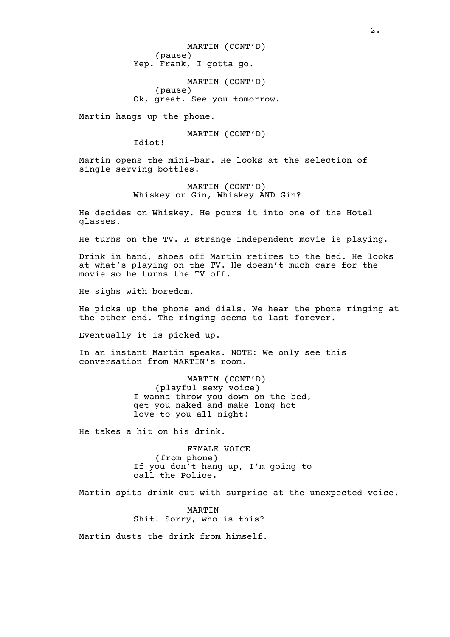MARTIN (CONT'D) (pause) Yep. Frank, I gotta go.

MARTIN (CONT'D) (pause) Ok, great. See you tomorrow.

Martin hangs up the phone.

MARTIN (CONT'D)

Idiot!

Martin opens the mini-bar. He looks at the selection of single serving bottles.

> MARTIN (CONT'D) Whiskey or Gin, Whiskey AND Gin?

He decides on Whiskey. He pours it into one of the Hotel glasses.

He turns on the TV. A strange independent movie is playing.

Drink in hand, shoes off Martin retires to the bed. He looks at what's playing on the TV. He doesn't much care for the movie so he turns the TV off.

He sighs with boredom.

He picks up the phone and dials. We hear the phone ringing at the other end. The ringing seems to last forever.

Eventually it is picked up.

In an instant Martin speaks. NOTE: We only see this conversation from MARTIN's room.

> MARTIN (CONT'D) (playful sexy voice) I wanna throw you down on the bed, get you naked and make long hot love to you all night!

He takes a hit on his drink.

FEMALE VOICE (from phone) If you don't hang up, I'm going to call the Police.

Martin spits drink out with surprise at the unexpected voice.

MARTIN Shit! Sorry, who is this?

Martin dusts the drink from himself.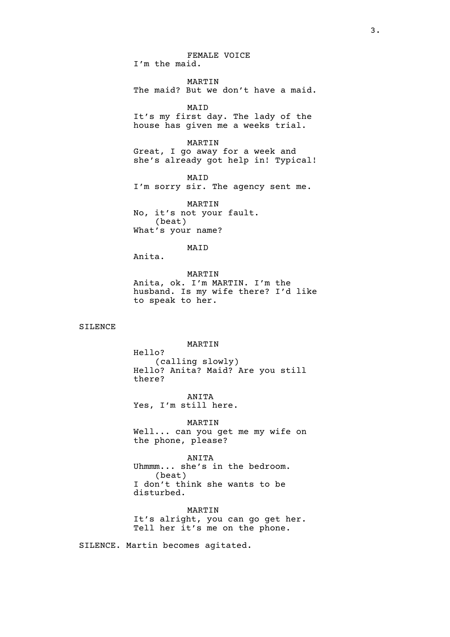FEMALE VOICE I'm the maid. MARTIN The maid? But we don't have a maid. MAID It's my first day. The lady of the house has given me a weeks trial. MARTIN Great, I go away for a week and she's already got help in! Typical! MAID I'm sorry sir. The agency sent me. MARTIN No, it's not your fault. (beat) What's your name? MAID Anita. MARTIN Anita, ok. I'm MARTIN. I'm the husband. Is my wife there? I'd like to speak to her. MARTIN Hello? (calling slowly) Hello? Anita? Maid? Are you still there?

ANITA Yes, I'm still here.

SILENCE

MARTIN Well... can you get me my wife on the phone, please?

ANITA Uhmmm... she's in the bedroom. (beat) I don't think she wants to be disturbed.

MARTIN It's alright, you can go get her. Tell her it's me on the phone.

SILENCE. Martin becomes agitated.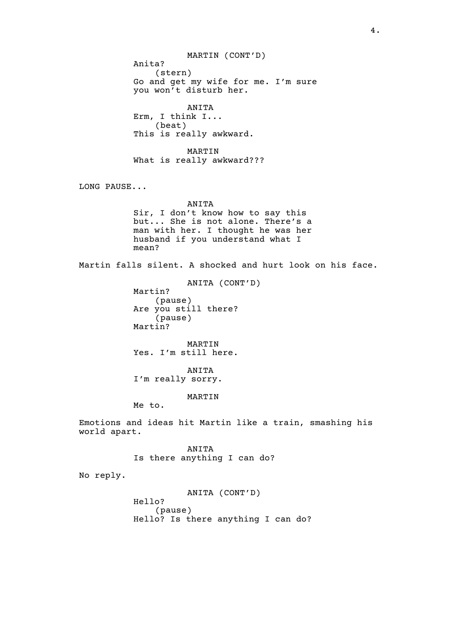MARTIN (CONT'D) Anita? (stern) Go and get my wife for me. I'm sure you won't disturb her. ANITA Erm, I think I... (beat) This is really awkward. MARTIN What is really awkward??? LONG PAUSE... ANITA Sir, I don't know how to say this but... She is not alone. There's a man with her. I thought he was her husband if you understand what I mean? Martin falls silent. A shocked and hurt look on his face. ANITA (CONT'D) Martin? (pause) Are you still there? (pause) Martin? MARTIN Yes. I'm still here. ANITA I'm really sorry. MARTIN Me to. Emotions and ideas hit Martin like a train, smashing his world apart. ANITA Is there anything I can do? No reply. ANITA (CONT'D) Hello? (pause) Hello? Is there anything I can do?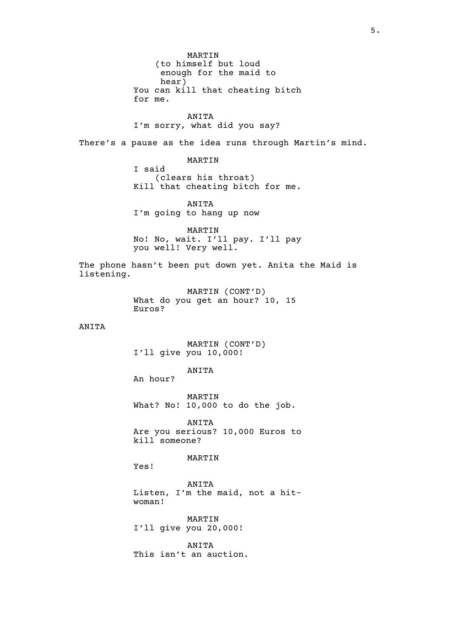MARTIN (to himself but loud enough for the maid to hear) You can kill that cheating bitch for me.

ANITA I'm sorry, what did you say?

There's a pause as the idea runs through Martin's mind.

MARTIN

I said (clears his throat) Kill that cheating bitch for me.

ANITA I'm going to hang up now

MARTIN No! No, wait. I'll pay. I'll pay you well! Very well.

The phone hasn't been put down yet. Anita the Maid is listening.

> MARTIN (CONT'D) What do you get an hour? 10, 15 Euros?

## ANITA

# MARTIN (CONT'D) I'll give you 10,000!

## ANITA

An hour?

MARTIN What? No! 10,000 to do the job.

ANITA Are you serious? 10,000 Euros to kill someone?

### MARTIN

Yes!

ANITA Listen, I'm the maid, not a hitwoman!

MARTIN I'll give you 20,000!

ANITA This isn't an auction.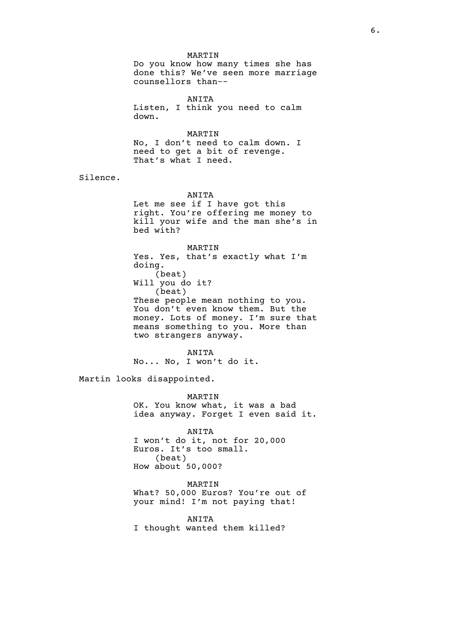#### MARTIN

Do you know how many times she has done this? We've seen more marriage counsellors than--

ANITA Listen, I think you need to calm down.

MARTIN

No, I don't need to calm down. I need to get a bit of revenge. That's what I need.

Silence.

ANITA

Let me see if I have got this right. You're offering me money to kill your wife and the man she's in bed with?

MARTIN Yes. Yes, that's exactly what I'm doing. (beat) Will you do it? (beat) These people mean nothing to you. You don't even know them. But the money. Lots of money. I'm sure that means something to you. More than two strangers anyway.

ANITA No... No, I won't do it.

Martin looks disappointed.

MARTIN OK. You know what, it was a bad idea anyway. Forget I even said it.

ANITA I won't do it, not for 20,000 Euros. It's too small. (beat) How about 50,000?

MARTIN What? 50,000 Euros? You're out of your mind! I'm not paying that!

ANITA I thought wanted them killed?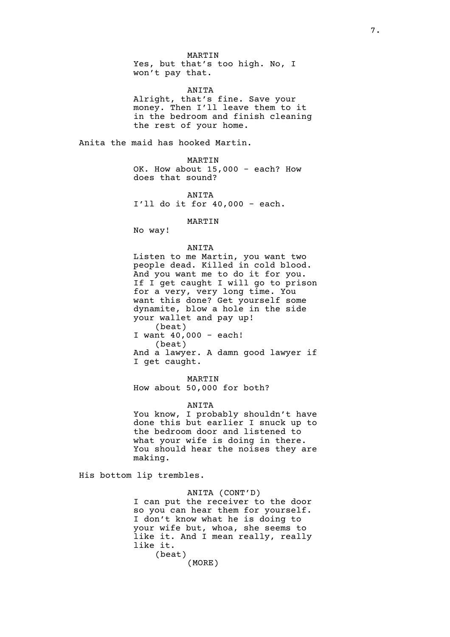ANITA

Alright, that's fine. Save your money. Then I'll leave them to it in the bedroom and finish cleaning the rest of your home.

Anita the maid has hooked Martin.

MARTIN OK. How about 15,000 - each? How does that sound?

ANITA

I'll do it for 40,000 - each.

#### MARTIN

No way!

### ANITA

Listen to me Martin, you want two people dead. Killed in cold blood. And you want me to do it for you. If I get caught I will go to prison for a very, very long time. You want this done? Get yourself some dynamite, blow a hole in the side your wallet and pay up! (beat) I want 40,000 - each! (beat) And a lawyer. A damn good lawyer if I get caught.

MARTIN

How about 50,000 for both?

#### ANITA

You know, I probably shouldn't have done this but earlier I snuck up to the bedroom door and listened to what your wife is doing in there. You should hear the noises they are making.

His bottom lip trembles.

# ANITA (CONT'D) I can put the receiver to the door so you can hear them for yourself. I don't know what he is doing to your wife but, whoa, she seems to like it. And I mean really, really like it.

(beat) (MORE)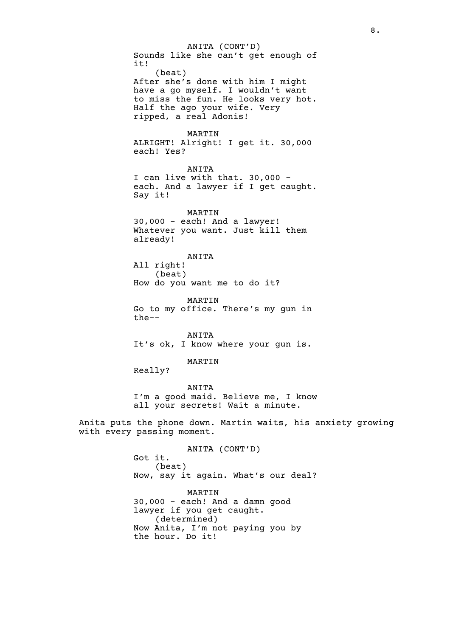ANITA (CONT'D) Sounds like she can't get enough of it! (beat) After she's done with him I might have a go myself. I wouldn't want to miss the fun. He looks very hot. Half the ago your wife. Very ripped, a real Adonis! MARTIN ALRIGHT! Alright! I get it. 30,000 each! Yes? ANITA I can live with that. 30,000 each. And a lawyer if I get caught. Say it! MARTIN 30,000 - each! And a lawyer! Whatever you want. Just kill them already! ANITA All right! (beat) How do you want me to do it? MARTIN Go to my office. There's my gun in the-- ANITA It's ok, I know where your gun is. MARTIN Really? ANITA I'm a good maid. Believe me, I know all your secrets! Wait a minute. Anita puts the phone down. Martin waits, his anxiety growing with every passing moment. ANITA (CONT'D) Got it. (beat) Now, say it again. What's our deal? MARTIN 30,000 - each! And a damn good lawyer if you get caught. (determined) Now Anita, I'm not paying you by the hour. Do it!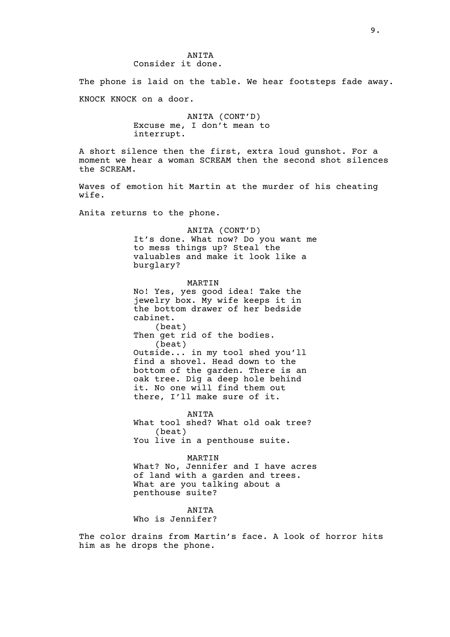The phone is laid on the table. We hear footsteps fade away. KNOCK KNOCK on a door.

> ANITA (CONT'D) Excuse me, I don't mean to interrupt.

A short silence then the first, extra loud gunshot. For a moment we hear a woman SCREAM then the second shot silences the SCREAM.

Waves of emotion hit Martin at the murder of his cheating wife.

Anita returns to the phone.

ANITA (CONT'D)

It's done. What now? Do you want me to mess things up? Steal the valuables and make it look like a burglary?

MARTIN No! Yes, yes good idea! Take the jewelry box. My wife keeps it in the bottom drawer of her bedside cabinet. (beat) Then get rid of the bodies. (beat) Outside... in my tool shed you'll find a shovel. Head down to the bottom of the garden. There is an oak tree. Dig a deep hole behind it. No one will find them out there, I'll make sure of it.

ANITA What tool shed? What old oak tree? (beat) You live in a penthouse suite.

MARTIN What? No, Jennifer and I have acres of land with a garden and trees. What are you talking about a penthouse suite?

ANITA

Who is Jennifer?

The color drains from Martin's face. A look of horror hits him as he drops the phone.